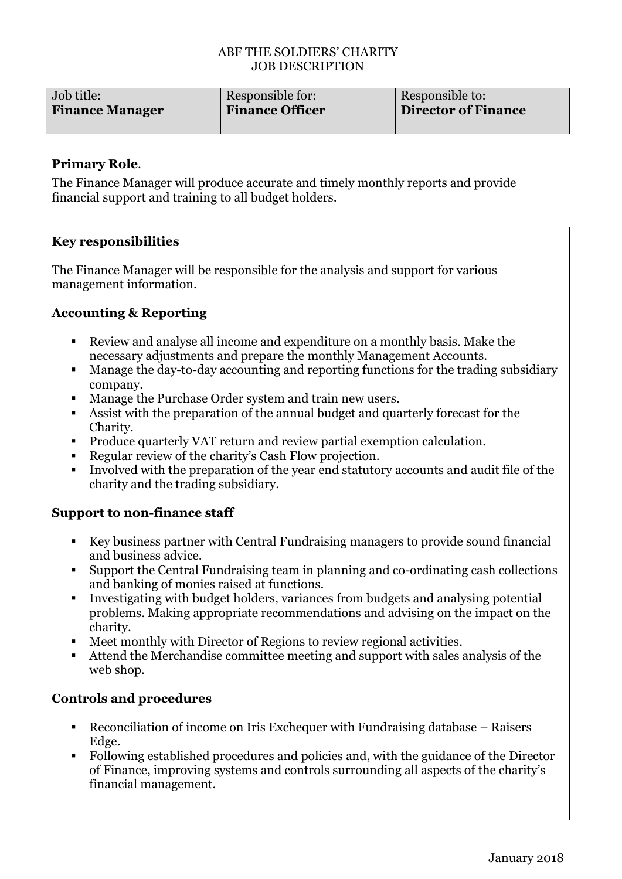#### ABF THE SOLDIERS' CHARITY JOB DESCRIPTION

| Job title:             | Responsible for:       | Responsible to:            |
|------------------------|------------------------|----------------------------|
| <b>Finance Manager</b> | <b>Finance Officer</b> | <b>Director of Finance</b> |
|                        |                        |                            |

### **Primary Role**.

The Finance Manager will produce accurate and timely monthly reports and provide financial support and training to all budget holders.

### **Key responsibilities**

The Finance Manager will be responsible for the analysis and support for various management information.

# **Accounting & Reporting**

- Review and analyse all income and expenditure on a monthly basis. Make the necessary adjustments and prepare the monthly Management Accounts.
- Manage the day-to-day accounting and reporting functions for the trading subsidiary company.
- Manage the Purchase Order system and train new users.
- Assist with the preparation of the annual budget and quarterly forecast for the Charity.
- Produce quarterly VAT return and review partial exemption calculation.
- Regular review of the charity's Cash Flow projection.
- Involved with the preparation of the year end statutory accounts and audit file of the charity and the trading subsidiary.

# **Support to non-finance staff**

- Key business partner with Central Fundraising managers to provide sound financial and business advice.
- Support the Central Fundraising team in planning and co-ordinating cash collections and banking of monies raised at functions.
- Investigating with budget holders, variances from budgets and analysing potential problems. Making appropriate recommendations and advising on the impact on the charity.
- Meet monthly with Director of Regions to review regional activities.
- Attend the Merchandise committee meeting and support with sales analysis of the web shop.

# **Controls and procedures**

- Reconciliation of income on Iris Exchequer with Fundraising database Raisers Edge.
- Following established procedures and policies and, with the guidance of the Director of Finance, improving systems and controls surrounding all aspects of the charity's financial management.